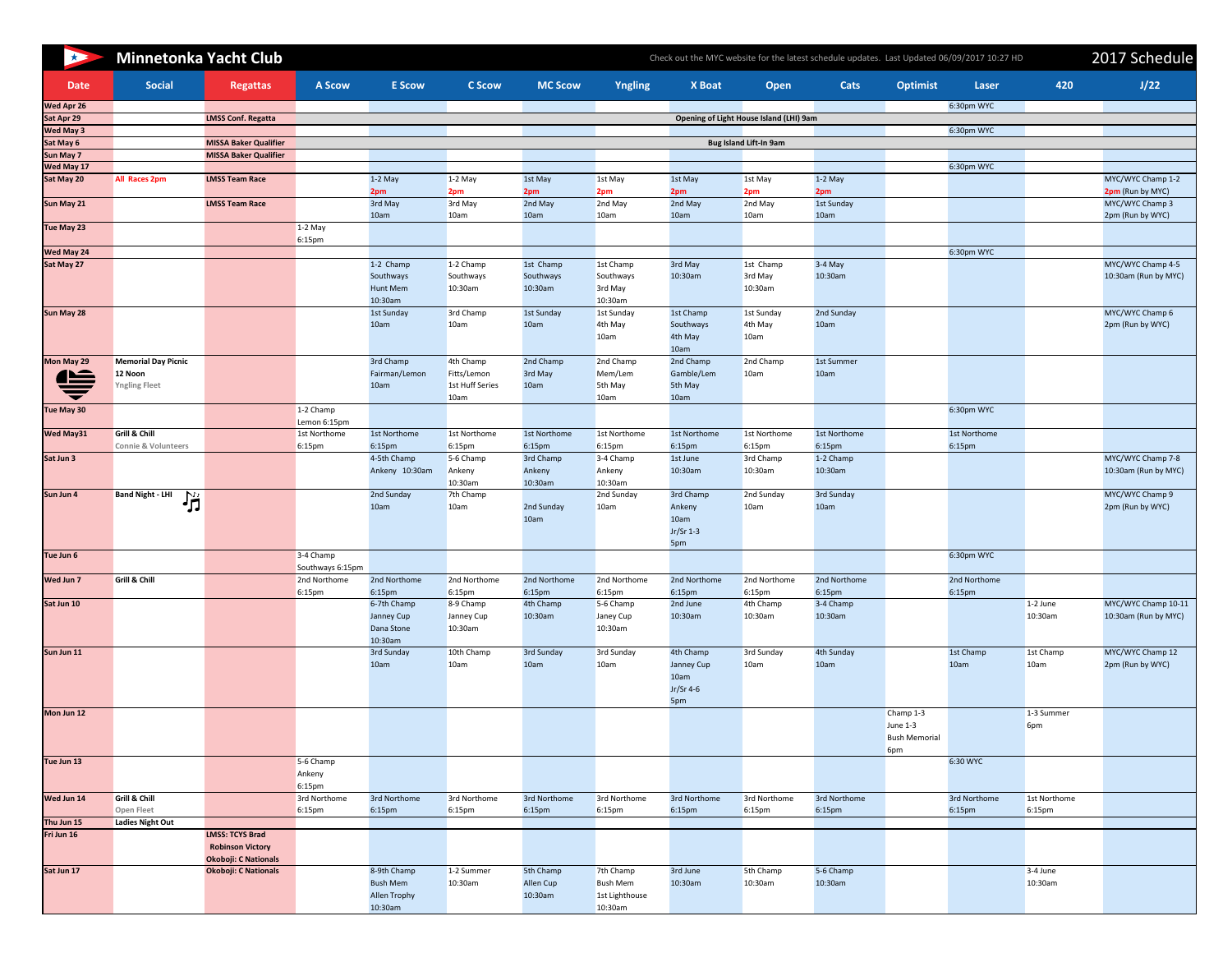| $\star$                        | <b>Minnetonka Yacht Club</b>                                  |                                                                                  | Check out the MYC website for the latest schedule updates. Last Updated 06/09/2017 10:27 HD |                                                           |                                                     |                                   |                                                    |                                                     |                                         |                        |                                                        |                        |                       |                                             |
|--------------------------------|---------------------------------------------------------------|----------------------------------------------------------------------------------|---------------------------------------------------------------------------------------------|-----------------------------------------------------------|-----------------------------------------------------|-----------------------------------|----------------------------------------------------|-----------------------------------------------------|-----------------------------------------|------------------------|--------------------------------------------------------|------------------------|-----------------------|---------------------------------------------|
| <b>Date</b>                    | <b>Social</b>                                                 | <b>Regattas</b>                                                                  | <b>A Scow</b>                                                                               | <b>E</b> Scow                                             | <b>C Scow</b>                                       | <b>MC Scow</b>                    | Yngling                                            | <b>X</b> Boat                                       | <b>Open</b>                             | <b>Cats</b>            | <b>Optimist</b>                                        | Laser                  | 420                   | J/22                                        |
| Wed Apr 26                     |                                                               |                                                                                  |                                                                                             |                                                           |                                                     |                                   |                                                    |                                                     |                                         |                        |                                                        | 6:30pm WYC             |                       |                                             |
| Sat Apr 29<br><b>Wed May 3</b> |                                                               | <b>LMSS Conf. Regatta</b>                                                        |                                                                                             |                                                           |                                                     |                                   |                                                    |                                                     | Opening of Light House Island (LHI) 9am |                        |                                                        | 6:30pm WYC             |                       |                                             |
| Sat May 6                      |                                                               | <b>MISSA Baker Qualifier</b>                                                     |                                                                                             |                                                           |                                                     |                                   |                                                    |                                                     | <b>Bug Island Lift-In 9am</b>           |                        |                                                        |                        |                       |                                             |
| Sun May 7                      |                                                               | <b>MISSA Baker Qualifier</b>                                                     |                                                                                             |                                                           |                                                     |                                   |                                                    |                                                     |                                         |                        |                                                        |                        |                       |                                             |
| Wed May 17<br>Sat May 20       | <b>All Races 2pm</b>                                          | <b>LMSS Team Race</b>                                                            |                                                                                             | $1-2$ May                                                 | $1-2$ May                                           | 1st May                           | 1st May                                            | 1st May                                             | 1st May                                 | $1-2$ May              |                                                        | 6:30pm WYC             |                       | MYC/WYC Champ 1-2                           |
|                                |                                                               |                                                                                  |                                                                                             | 2pm                                                       | 2pm                                                 | 2pm                               | 2pm                                                | 2pm                                                 | 2pm                                     | 2pm                    |                                                        |                        |                       | 2pm (Run by MYC)                            |
| Sun May 21                     |                                                               | <b>LMSS Team Race</b>                                                            |                                                                                             | 3rd May<br>10am                                           | 3rd May<br>10am                                     | 2nd May<br>10am                   | 2nd May<br>10am                                    | 2nd May<br>10am                                     | 2nd May<br>10am                         | 1st Sunday<br>10am     |                                                        |                        |                       | MYC/WYC Champ 3<br>2pm (Run by WYC)         |
| Tue May 23                     |                                                               |                                                                                  | $1-2$ May<br>6:15pm                                                                         |                                                           |                                                     |                                   |                                                    |                                                     |                                         |                        |                                                        |                        |                       |                                             |
| Wed May 24                     |                                                               |                                                                                  |                                                                                             |                                                           |                                                     |                                   |                                                    |                                                     |                                         |                        |                                                        | 6:30pm WYC             |                       |                                             |
| Sat May 27                     |                                                               |                                                                                  |                                                                                             | 1-2 Champ<br>Southways<br><b>Hunt Mem</b><br>10:30am      | 1-2 Champ<br>Southways<br>10:30am                   | 1st Champ<br>Southways<br>10:30am | 1st Champ<br>Southways<br>3rd May<br>10:30am       | 3rd May<br>10:30am                                  | 1st Champ<br>3rd May<br>10:30am         | $3-4$ May<br>10:30am   |                                                        |                        |                       | MYC/WYC Champ 4-5<br>10:30am (Run by MYC)   |
| Sun May 28                     |                                                               |                                                                                  |                                                                                             | 1st Sunday<br>10am                                        | 3rd Champ<br>10am                                   | 1st Sunday<br>10am                | 1st Sunday<br>4th May<br>10am                      | 1st Champ<br>Southways<br>4th May<br>10am           | 1st Sunday<br>4th May<br>10am           | 2nd Sunday<br>10am     |                                                        |                        |                       | MYC/WYC Champ 6<br>2pm (Run by WYC)         |
| Mon May 29                     | <b>Memorial Day Picnic</b><br>12 Noon<br><b>Yngling Fleet</b> |                                                                                  |                                                                                             | 3rd Champ<br>Fairman/Lemon<br>10am                        | 4th Champ<br>Fitts/Lemon<br>1st Huff Series<br>10am | 2nd Champ<br>3rd May<br>10am      | 2nd Champ<br>Mem/Lem<br>5th May<br>10am            | 2nd Champ<br>Gamble/Lem<br>5th May<br>10am          | 2nd Champ<br>10am                       | 1st Summer<br>10am     |                                                        |                        |                       |                                             |
| Tue May 30                     |                                                               |                                                                                  | 1-2 Champ<br>Lemon 6:15pm                                                                   |                                                           |                                                     |                                   |                                                    |                                                     |                                         |                        |                                                        | 6:30pm WYC             |                       |                                             |
| Wed May31                      | <b>Grill &amp; Chill</b><br><b>Connie &amp; Volunteers</b>    |                                                                                  | 1st Northome<br>6:15pm                                                                      | 1st Northome<br>6:15pm                                    | 1st Northome<br>6:15pm                              | 1st Northome<br>6:15pm            | 1st Northome<br>6:15 <sub>pm</sub>                 | 1st Northome<br>6:15pm                              | 1st Northome<br>6:15 <sub>pm</sub>      | 1st Northome<br>6:15pm |                                                        | 1st Northome<br>6:15pm |                       |                                             |
| Sat Jun 3                      |                                                               |                                                                                  |                                                                                             | 4-5th Champ<br>Ankeny 10:30am                             | 5-6 Champ<br>Ankeny<br>10:30am                      | 3rd Champ<br>Ankeny<br>10:30am    | 3-4 Champ<br>Ankeny<br>10:30am                     | 1st June<br>10:30am                                 | 3rd Champ<br>10:30am                    | 1-2 Champ<br>10:30am   |                                                        |                        |                       | MYC/WYC Champ 7-8<br>10:30am (Run by MYC)   |
| Sun Jun 4                      | <b>Band Night - LHI</b><br>当                                  |                                                                                  |                                                                                             | 2nd Sunday<br>10am                                        | 7th Champ<br>10am                                   | 2nd Sunday<br>10am                | 2nd Sunday<br>10am                                 | 3rd Champ<br>Ankeny<br>10am<br>$Jr/Sr 1-3$<br>5pm   | 2nd Sunday<br>10am                      | 3rd Sunday<br>10am     |                                                        |                        |                       | MYC/WYC Champ 9<br>2pm (Run by WYC)         |
| Tue Jun 6                      |                                                               |                                                                                  | 3-4 Champ<br>Southways 6:15pm                                                               |                                                           |                                                     |                                   |                                                    |                                                     |                                         |                        |                                                        | 6:30pm WYC             |                       |                                             |
| Wed Jun 7                      | Grill & Chill                                                 |                                                                                  | 2nd Northome                                                                                | 2nd Northome                                              | 2nd Northome                                        | 2nd Northome                      | 2nd Northome                                       | 2nd Northome                                        | 2nd Northome                            | 2nd Northome           |                                                        | 2nd Northome           |                       |                                             |
|                                |                                                               |                                                                                  | 6:15pm                                                                                      | 6:15pm                                                    | 6:15 <sub>pm</sub>                                  | 6:15 <sub>pm</sub>                | 6:15 <sub>pm</sub>                                 | 6:15pm                                              | 6:15 <sub>pm</sub>                      | 6:15pm                 |                                                        | 6:15pm                 |                       |                                             |
| Sat Jun 10                     |                                                               |                                                                                  |                                                                                             | 6-7th Champ<br>Janney Cup<br>Dana Stone<br>10:30am        | 8-9 Champ<br>Janney Cup<br>10:30am                  | 4th Champ<br>10:30am              | 5-6 Champ<br>Janey Cup<br>10:30am                  | 2nd June<br>10:30am                                 | 4th Champ<br>10:30am                    | 3-4 Champ<br>10:30am   |                                                        |                        | $1-2$ June<br>10:30am | MYC/WYC Champ 10-11<br>10:30am (Run by MYC) |
| Sun Jun 11                     |                                                               |                                                                                  |                                                                                             | 3rd Sunday<br>10am                                        | 10th Champ<br>10am                                  | 3rd Sunday<br>10am                | 3rd Sunday<br>10am                                 | 4th Champ<br>Janney Cup<br>10am<br>Jr/Sr 4-6<br>5pm | 3rd Sunday<br>10am                      | 4th Sunday<br>10am     |                                                        | 1st Champ<br>10am      | 1st Champ<br>10am     | MYC/WYC Champ 12<br>2pm (Run by WYC)        |
| Mon Jun 12                     |                                                               |                                                                                  |                                                                                             |                                                           |                                                     |                                   |                                                    |                                                     |                                         |                        | Champ 1-3<br>June $1-3$<br><b>Bush Memorial</b><br>6pm |                        | 1-3 Summer<br>6pm     |                                             |
| Tue Jun 13                     |                                                               |                                                                                  | 5-6 Champ<br>Ankeny<br>6:15pm                                                               |                                                           |                                                     |                                   |                                                    |                                                     |                                         |                        |                                                        | 6:30 WYC               |                       |                                             |
| Wed Jun 14                     | Grill & Chill                                                 |                                                                                  | 3rd Northome                                                                                | 3rd Northome                                              | 3rd Northome                                        | 3rd Northome                      | 3rd Northome                                       | 3rd Northome                                        | 3rd Northome                            | 3rd Northome           |                                                        | 3rd Northome           | 1st Northome          |                                             |
| Thu Jun 15                     | Open Fleet<br><b>Ladies Night Out</b>                         |                                                                                  | 6:15pm                                                                                      | 6:15pm                                                    | 6:15pm                                              | 6:15pm                            | 6:15 <sub>pm</sub>                                 | 6:15pm                                              | 6:15 <sub>pm</sub>                      | 6:15pm                 |                                                        | 6:15pm                 | 6:15 <sub>pm</sub>    |                                             |
| Fri Jun 16                     |                                                               | <b>LMSS: TCYS Brad</b><br><b>Robinson Victory</b><br><b>Okoboji: C Nationals</b> |                                                                                             |                                                           |                                                     |                                   |                                                    |                                                     |                                         |                        |                                                        |                        |                       |                                             |
| Sat Jun 17                     |                                                               | <b>Okoboji: C Nationals</b>                                                      |                                                                                             | 8-9th Champ<br><b>Bush Mem</b><br>Allen Trophy<br>10:30am | 1-2 Summer<br>10:30am                               | 5th Champ<br>Allen Cup<br>10:30am | 7th Champ<br>Bush Mem<br>1st Lighthouse<br>10:30am | 3rd June<br>10:30am                                 | 5th Champ<br>10:30am                    | 5-6 Champ<br>10:30am   |                                                        |                        | $3-4$ June<br>10:30am |                                             |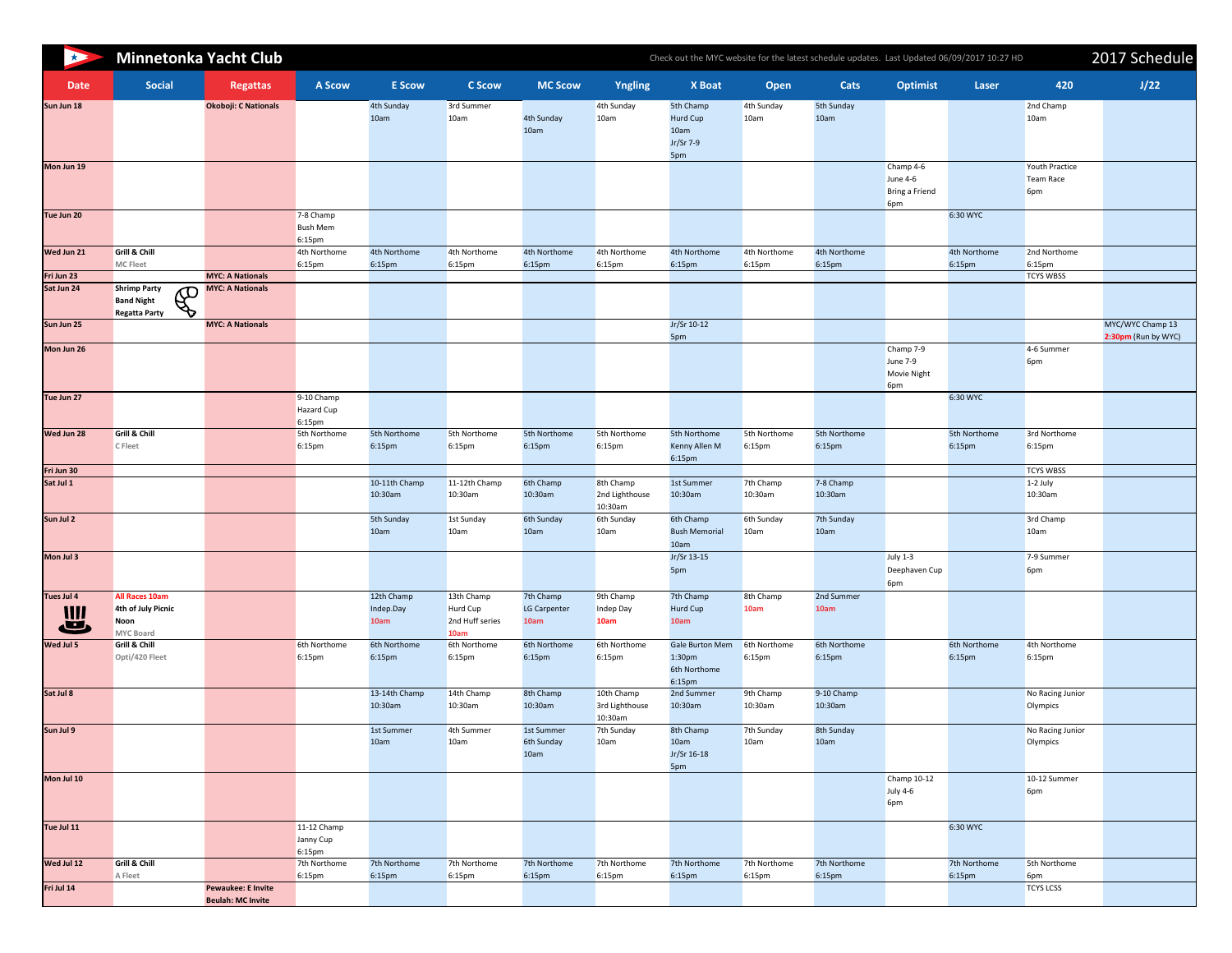| R               |                                                                                        | <b>Minnetonka Yacht Club</b>                          | Check out the MYC website for the latest schedule updates. Last Updated 06/09/2017 10:27 HD |                                 |                                                          |                                          |                                         |                                                                        |                          |                                    |                                                |                        |                                           | 2017 Schedu                            |  |  |
|-----------------|----------------------------------------------------------------------------------------|-------------------------------------------------------|---------------------------------------------------------------------------------------------|---------------------------------|----------------------------------------------------------|------------------------------------------|-----------------------------------------|------------------------------------------------------------------------|--------------------------|------------------------------------|------------------------------------------------|------------------------|-------------------------------------------|----------------------------------------|--|--|
| <b>Date</b>     | <b>Social</b>                                                                          | <b>Regattas</b>                                       | <b>A Scow</b>                                                                               | <b>E</b> Scow                   | <b>C Scow</b>                                            | <b>MC Scow</b>                           | <b>Yngling</b>                          | <b>X</b> Boat                                                          | <b>Open</b>              | Cats                               | <b>Optimist</b>                                | Laser                  | 420                                       | J/22                                   |  |  |
| Sun Jun 18      |                                                                                        | <b>Okoboji: C Nationals</b>                           |                                                                                             | 4th Sunday<br>10am              | 3rd Summer<br>10am                                       | 4th Sunday<br>10am                       | 4th Sunday<br>10am                      | 5th Champ<br>Hurd Cup<br>10am<br>Jr/Sr 7-9<br>5pm                      | 4th Sunday<br>10am       | 5th Sunday<br>10am                 |                                                |                        | 2nd Champ<br>10am                         |                                        |  |  |
| Mon Jun 19      |                                                                                        |                                                       |                                                                                             |                                 |                                                          |                                          |                                         |                                                                        |                          |                                    | Champ 4-6<br>June 4-6<br>Bring a Friend<br>6pm |                        | Youth Practice<br><b>Team Race</b><br>6pm |                                        |  |  |
| Tue Jun 20      |                                                                                        |                                                       | 7-8 Champ<br><b>Bush Mem</b><br>6:15 <sub>pm</sub>                                          |                                 |                                                          |                                          |                                         |                                                                        |                          |                                    |                                                | 6:30 WYC               |                                           |                                        |  |  |
| Wed Jun 21      | <b>Grill &amp; Chill</b><br><b>MC Fleet</b>                                            |                                                       | 4th Northome<br>6:15 <sub>pm</sub>                                                          | 4th Northome<br>6:15pm          | 4th Northome<br>6:15pm                                   | 4th Northome<br>6:15pm                   | 4th Northome<br>6:15pm                  | 4th Northome<br>6:15pm                                                 | 4th Northome<br>6:15pm   | 4th Northome<br>6:15pm             |                                                | 4th Northome<br>6:15pm | 2nd Northome<br>6:15 <sub>pm</sub>        |                                        |  |  |
| Fri Jun 23      |                                                                                        | <b>MYC: A Nationals</b>                               |                                                                                             |                                 |                                                          |                                          |                                         |                                                                        |                          |                                    |                                                |                        | <b>TCYS WBSS</b>                          |                                        |  |  |
| Sat Jun 24      | <b>Shrimp Party</b><br>$\mathcal{L}$<br><b>Band Night</b><br><b>Regatta Party</b><br>Ø | <b>MYC: A Nationals</b>                               |                                                                                             |                                 |                                                          |                                          |                                         |                                                                        |                          |                                    |                                                |                        |                                           |                                        |  |  |
| Sun Jun 25      |                                                                                        | <b>MYC: A Nationals</b>                               |                                                                                             |                                 |                                                          |                                          |                                         | Jr/Sr 10-12<br>5pm                                                     |                          |                                    |                                                |                        |                                           | MYC/WYC Champ 13<br>2:30pm (Run by WYO |  |  |
| Mon Jun 26      |                                                                                        |                                                       |                                                                                             |                                 |                                                          |                                          |                                         |                                                                        |                          |                                    | Champ 7-9<br>June 7-9<br>Movie Night<br>6pm    |                        | 4-6 Summer<br>6pm                         |                                        |  |  |
| Tue Jun 27      |                                                                                        |                                                       | 9-10 Champ<br>Hazard Cup<br>6:15 <sub>pm</sub>                                              |                                 |                                                          |                                          |                                         |                                                                        |                          |                                    |                                                | 6:30 WYC               |                                           |                                        |  |  |
| Wed Jun 28      | <b>Grill &amp; Chill</b><br><b>C</b> Fleet                                             |                                                       | 5th Northome<br>6:15 <sub>pm</sub>                                                          | 5th Northome<br>6:15pm          | 5th Northome<br>6:15 <sub>pm</sub>                       | 5th Northome<br>6:15pm                   | 5th Northome<br>6:15pm                  | 5th Northome<br>Kenny Allen M<br>6:15pm                                | 5th Northome<br>6:15pm   | 5th Northome<br>6:15pm             |                                                | 5th Northome<br>6:15pm | 3rd Northome<br>6:15 <sub>pm</sub>        |                                        |  |  |
| Fri Jun 30      |                                                                                        |                                                       |                                                                                             |                                 |                                                          |                                          |                                         |                                                                        |                          |                                    |                                                |                        | <b>TCYS WBSS</b>                          |                                        |  |  |
| Sat Jul 1       |                                                                                        |                                                       |                                                                                             | 10-11th Champ<br>10:30am        | 11-12th Champ<br>10:30am                                 | 6th Champ<br>10:30am                     | 8th Champ<br>2nd Lighthouse<br>10:30am  | 1st Summer<br>10:30am                                                  | 7th Champ<br>10:30am     | 7-8 Champ<br>10:30am               |                                                |                        | $1-2$ July<br>10:30am                     |                                        |  |  |
| Sun Jul 2       |                                                                                        |                                                       |                                                                                             | 5th Sunday<br>10am              | 1st Sunday<br>10am                                       | 6th Sunday<br>10am                       | 6th Sunday<br>10am                      | 6th Champ<br><b>Bush Memorial</b><br>10am                              | 6th Sunday<br>10am       | 7th Sunday<br>10am                 |                                                |                        | 3rd Champ<br>10am                         |                                        |  |  |
| Mon Jul 3       |                                                                                        |                                                       |                                                                                             |                                 |                                                          |                                          |                                         | Jr/Sr 13-15<br>5pm                                                     |                          |                                    | <b>July 1-3</b><br>Deephaven Cup<br>6pm        |                        | 7-9 Summer<br>6pm                         |                                        |  |  |
| Tues Jul 4<br>一 | All Races 10am<br>4th of July Picnic<br>Noon<br><b>MYC Board</b>                       |                                                       |                                                                                             | 12th Champ<br>Indep.Day<br>10am | 13th Champ<br>Hurd Cup<br>2nd Huff series<br><b>10am</b> | 7th Champ<br><b>LG Carpenter</b><br>10am | 9th Champ<br>Indep Day<br>10am          | 7th Champ<br>Hurd Cup<br>10am                                          | 8th Champ<br><b>10am</b> | 2nd Summer<br>10am                 |                                                |                        |                                           |                                        |  |  |
| Wed Jul 5       | Grill & Chill<br>Opti/420 Fleet                                                        |                                                       | 6th Northome<br>6:15 <sub>pm</sub>                                                          | 6th Northome<br>6:15pm          | 6th Northome<br>6:15 <sub>pm</sub>                       | 6th Northome<br>6:15pm                   | 6th Northome<br>6:15 <sub>pm</sub>      | <b>Gale Burton Mem</b><br>1:30 <sub>pm</sub><br>6th Northome<br>6:15pm | 6th Northome<br>6:15pm   | 6th Northome<br>6:15 <sub>pm</sub> |                                                | 6th Northome<br>6:15pm | 4th Northome<br>6:15 <sub>pm</sub>        |                                        |  |  |
| Sat Jul 8       |                                                                                        |                                                       |                                                                                             | 13-14th Champ<br>10:30am        | 14th Champ<br>10:30am                                    | 8th Champ<br>10:30am                     | 10th Champ<br>3rd Lighthouse<br>10:30am | 2nd Summer<br>10:30am                                                  | 9th Champ<br>10:30am     | 9-10 Champ<br>10:30am              |                                                |                        | No Racing Junior<br>Olympics              |                                        |  |  |
| Sun Jul 9       |                                                                                        |                                                       |                                                                                             | 1st Summer<br>10am              | 4th Summer<br>10am                                       | 1st Summer<br>6th Sunday<br>10am         | 7th Sunday<br>10am                      | 8th Champ<br>10am<br>Jr/Sr 16-18<br>5pm                                | 7th Sunday<br>10am       | 8th Sunday<br>10am                 |                                                |                        | No Racing Junior<br>Olympics              |                                        |  |  |
| Mon Jul 10      |                                                                                        |                                                       |                                                                                             |                                 |                                                          |                                          |                                         |                                                                        |                          |                                    | Champ 10-12<br><b>July 4-6</b><br>6pm          |                        | 10-12 Summer<br>6pm                       |                                        |  |  |
| Tue Jul 11      |                                                                                        |                                                       | 11-12 Champ<br>Janny Cup<br>6:15 <sub>pm</sub>                                              |                                 |                                                          |                                          |                                         |                                                                        |                          |                                    |                                                | 6:30 WYC               |                                           |                                        |  |  |
| Wed Jul 12      | Grill & Chill                                                                          |                                                       | 7th Northome                                                                                | 7th Northome                    | 7th Northome                                             | 7th Northome                             | 7th Northome                            | 7th Northome                                                           | 7th Northome             | 7th Northome                       |                                                | 7th Northome           | 5th Northome                              |                                        |  |  |
| Fri Jul 14      | A Fleet                                                                                | <b>Pewaukee: E Invite</b><br><b>Beulah: MC Invite</b> | 6:15pm                                                                                      | 6:15pm                          | 6:15 <sub>pm</sub>                                       | 6:15pm                                   | 6:15pm                                  | 6:15pm                                                                 | 6:15pm                   | 6:15pm                             |                                                | 6:15pm                 | 6pm<br><b>TCYS LCSS</b>                   |                                        |  |  |

Podates. Last Updated 06/09/2017 10:27 HD 2017 Schedule

| X Boat                                                          | <b>Open</b>            | <b>Cats</b>            | <b>Optimist</b>                                       | <b>Laser</b>           | 420                                       | J/22                                    |
|-----------------------------------------------------------------|------------------------|------------------------|-------------------------------------------------------|------------------------|-------------------------------------------|-----------------------------------------|
| 5th Champ<br><b>Hurd Cup</b><br>10am<br>Jr/Sr 7-9<br>5pm        | 4th Sunday<br>10am     | 5th Sunday<br>10am     |                                                       |                        | 2nd Champ<br>10am                         |                                         |
|                                                                 |                        |                        | Champ 4-6<br><b>June 4-6</b><br>Bring a Friend<br>6pm |                        | <b>Youth Practice</b><br>Team Race<br>6pm |                                         |
|                                                                 |                        |                        |                                                       | 6:30 WYC               |                                           |                                         |
| 4th Northome<br>6:15 <sub>pm</sub>                              | 4th Northome<br>6:15pm | 4th Northome<br>6:15pm |                                                       | 4th Northome<br>6:15pm | 2nd Northome<br>6:15pm                    |                                         |
|                                                                 |                        |                        |                                                       |                        | <b>TCYS WBSS</b>                          |                                         |
| Jr/Sr 10-12<br>5pm                                              |                        |                        |                                                       |                        |                                           | MYC/WYC Champ 13<br>2:30pm (Run by WYC) |
|                                                                 |                        |                        | Champ 7-9<br><b>June 7-9</b><br>Movie Night<br>6pm    |                        | 4-6 Summer<br>6pm                         |                                         |
|                                                                 |                        |                        |                                                       | 6:30 WYC               |                                           |                                         |
| 5th Northome<br>Kenny Allen M<br>6:15pm                         | 5th Northome<br>6:15pm | 5th Northome<br>6:15pm |                                                       | 5th Northome<br>6:15pm | 3rd Northome<br>6:15pm                    |                                         |
|                                                                 |                        |                        |                                                       |                        | <b>TCYS WBSS</b>                          |                                         |
| 1st Summer<br>10:30am                                           | 7th Champ<br>10:30am   | 7-8 Champ<br>10:30am   |                                                       |                        | 1-2 July<br>10:30am                       |                                         |
| 6th Champ<br><b>Bush Memorial</b><br>10am                       | 6th Sunday<br>10am     | 7th Sunday<br>10am     |                                                       |                        | 3rd Champ<br>10am                         |                                         |
| Jr/Sr 13-15<br>5pm                                              |                        |                        | <b>July 1-3</b><br>Deephaven Cup<br>6pm               |                        | 7-9 Summer<br>6pm                         |                                         |
| 7th Champ<br><b>Hurd Cup</b><br>10am                            | 8th Champ<br>10am      | 2nd Summer<br>10am     |                                                       |                        |                                           |                                         |
| Gale Burton Mem<br>1:30 <sub>pm</sub><br>6th Northome<br>6:15pm | 6th Northome<br>6:15pm | 6th Northome<br>6:15pm |                                                       | 6th Northome<br>6:15pm | 4th Northome<br>6:15pm                    |                                         |
| 2nd Summer<br>10:30am                                           | 9th Champ<br>10:30am   | 9-10 Champ<br>10:30am  |                                                       |                        | No Racing Junior<br>Olympics              |                                         |
| 8th Champ<br>10am<br>Jr/Sr 16-18<br>5pm                         | 7th Sunday<br>10am     | 8th Sunday<br>10am     |                                                       |                        | No Racing Junior<br>Olympics              |                                         |
|                                                                 |                        |                        | Champ 10-12<br><b>July 4-6</b><br>6pm                 |                        | 10-12 Summer<br>6pm                       |                                         |
|                                                                 |                        |                        |                                                       | 6:30 WYC               |                                           |                                         |
| 7th Northome<br>6:15pm                                          | 7th Northome<br>6:15pm | 7th Northome<br>6:15pm |                                                       | 7th Northome<br>6:15pm | 5th Northome<br>6pm                       |                                         |
|                                                                 |                        |                        |                                                       |                        | <b>TCYS LCSS</b>                          |                                         |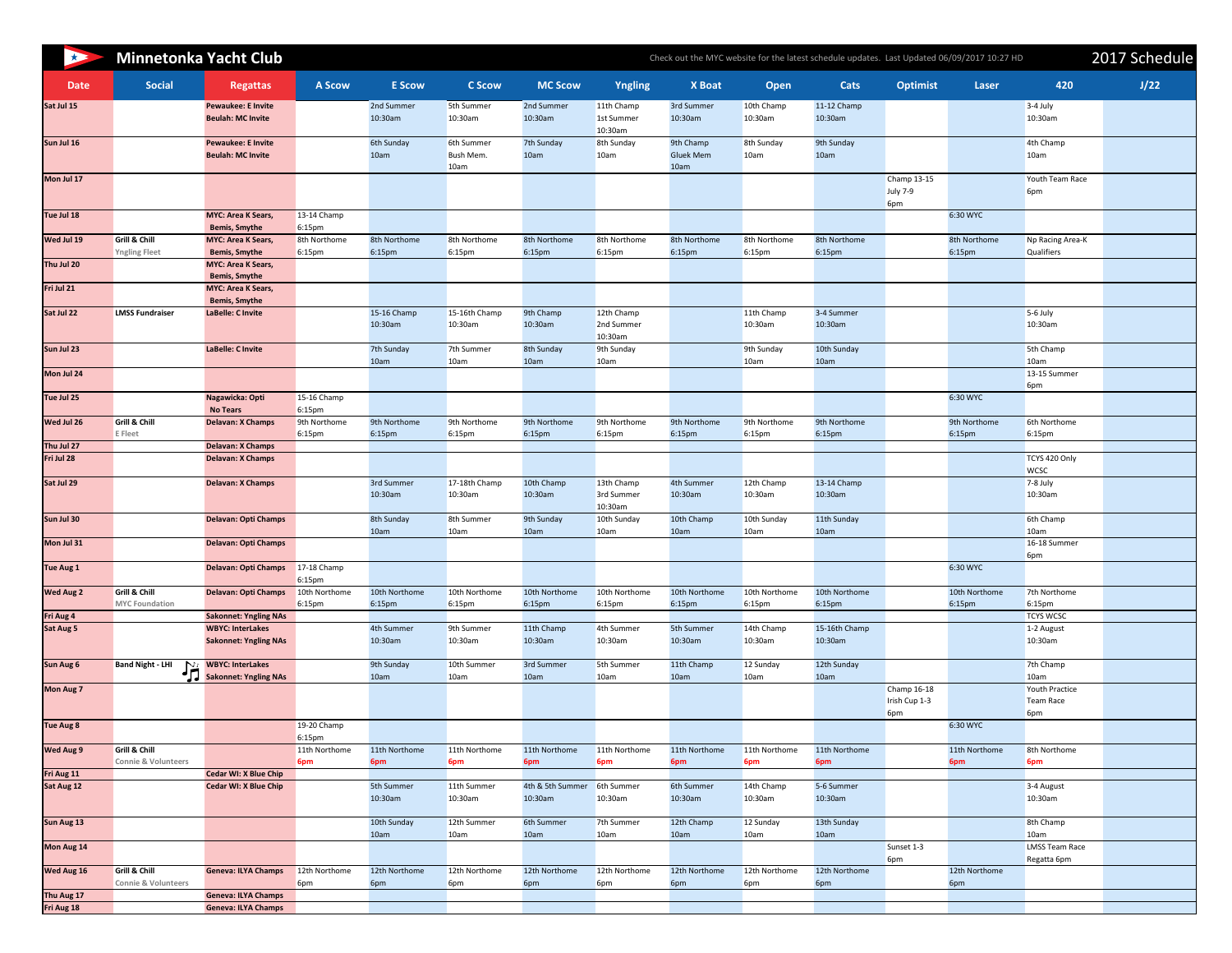| $\rightarrow$            | <b>Minnetonka Yacht Club</b>                     |                                                                                 |                                     |                         |                                        |                         | Check out the MYC website for the latest schedule updates. Last Updated 06/09/2017 10:27 HD | 2017 Schedule                         |                         |                          |                                       |                         |                                       |      |
|--------------------------|--------------------------------------------------|---------------------------------------------------------------------------------|-------------------------------------|-------------------------|----------------------------------------|-------------------------|---------------------------------------------------------------------------------------------|---------------------------------------|-------------------------|--------------------------|---------------------------------------|-------------------------|---------------------------------------|------|
| <b>Date</b>              | <b>Social</b>                                    | <b>Regattas</b>                                                                 | <b>A Scow</b>                       | <b>E</b> Scow           | <b>C Scow</b>                          | <b>MC Scow</b>          | Yngling                                                                                     | <b>X</b> Boat                         | Open                    | <b>Cats</b>              | <b>Optimist</b>                       | <b>Laser</b>            | 420                                   | J/22 |
| Sat Jul 15               |                                                  | <b>Pewaukee: E Invite</b><br><b>Beulah: MC Invite</b>                           |                                     | 2nd Summer<br>10:30am   | 5th Summer<br>10:30am                  | 2nd Summer<br>10:30am   | 11th Champ<br>1st Summer<br>10:30am                                                         | 3rd Summer<br>10:30am                 | 10th Champ<br>10:30am   | 11-12 Champ<br>10:30am   |                                       |                         | $3-4$ July<br>10:30am                 |      |
| Sun Jul 16               |                                                  | <b>Pewaukee: E Invite</b><br><b>Beulah: MC Invite</b>                           |                                     | 6th Sunday<br>10am      | 6th Summer<br><b>Bush Mem.</b><br>10am | 7th Sunday<br>10am      | 8th Sunday<br>10am                                                                          | 9th Champ<br><b>Gluek Mem</b><br>10am | 8th Sunday<br>10am      | 9th Sunday<br>10am       |                                       |                         | 4th Champ<br>10am                     |      |
| Mon Jul 17               |                                                  |                                                                                 |                                     |                         |                                        |                         |                                                                                             |                                       |                         |                          | Champ 13-15<br><b>July 7-9</b><br>6pm |                         | Youth Team Race<br>6pm                |      |
| Tue Jul 18               |                                                  | <b>MYC: Area K Sears,</b><br><b>Bemis, Smythe</b>                               | 13-14 Champ<br>6:15pm               |                         |                                        |                         |                                                                                             |                                       |                         |                          |                                       | 6:30 WYC                |                                       |      |
| Wed Jul 19               | <b>Grill &amp; Chill</b><br><b>Yngling Fleet</b> | <b>MYC: Area K Sears,</b><br><b>Bemis, Smythe</b>                               | 8th Northome<br>6:15pm              | 8th Northome<br>6:15pm  | 8th Northome<br>6:15pm                 | 8th Northome<br>6:15pm  | 8th Northome<br>6:15 <sub>pm</sub>                                                          | 8th Northome<br>6:15pm                | 8th Northome<br>6:15pm  | 8th Northome<br>6:15pm   |                                       | 8th Northome<br>6:15pm  | Np Racing Area-K<br><b>Qualifiers</b> |      |
| Thu Jul 20               |                                                  | <b>MYC: Area K Sears,</b><br><b>Bemis, Smythe</b>                               |                                     |                         |                                        |                         |                                                                                             |                                       |                         |                          |                                       |                         |                                       |      |
| Fri Jul 21               |                                                  | <b>MYC: Area K Sears,</b><br><b>Bemis, Smythe</b>                               |                                     |                         |                                        |                         |                                                                                             |                                       |                         |                          |                                       |                         |                                       |      |
| Sat Jul 22               | <b>LMSS Fundraiser</b>                           | LaBelle: C Invite                                                               |                                     | 15-16 Champ<br>10:30am  | 15-16th Champ<br>10:30am               | 9th Champ<br>10:30am    | 12th Champ<br>2nd Summer<br>10:30am                                                         |                                       | 11th Champ<br>10:30am   | 3-4 Summer<br>10:30am    |                                       |                         | $5-6$ July<br>10:30am                 |      |
| Sun Jul 23               |                                                  | LaBelle: C Invite                                                               |                                     | 7th Sunday<br>10am      | 7th Summer<br>10am                     | 8th Sunday<br>10am      | 9th Sunday<br>10am                                                                          |                                       | 9th Sunday<br>10am      | 10th Sunday<br>10am      |                                       |                         | 5th Champ<br>10am                     |      |
| Mon Jul 24               |                                                  |                                                                                 |                                     |                         |                                        |                         |                                                                                             |                                       |                         |                          |                                       |                         | 13-15 Summer<br>6pm                   |      |
| Tue Jul 25               |                                                  | Nagawicka: Opti<br><b>No Tears</b>                                              | 15-16 Champ<br>6:15pm               |                         |                                        |                         |                                                                                             |                                       |                         |                          |                                       | 6:30 WYC                |                                       |      |
| Wed Jul 26               | Grill & Chill<br><b>E</b> Fleet                  | <b>Delavan: X Champs</b>                                                        | 9th Northome<br>6:15pm              | 9th Northome<br>6:15pm  | 9th Northome<br>6:15pm                 | 9th Northome<br>6:15pm  | 9th Northome<br>6:15 <sub>pm</sub>                                                          | 9th Northome<br>6:15pm                | 9th Northome<br>6:15pm  | 9th Northome<br>6:15pm   |                                       | 9th Northome<br>6:15pm  | 6th Northome<br>6:15pm                |      |
| Thu Jul 27               |                                                  | <b>Delavan: X Champs</b>                                                        |                                     |                         |                                        |                         |                                                                                             |                                       |                         |                          |                                       |                         |                                       |      |
| Fri Jul 28               |                                                  | <b>Delavan: X Champs</b>                                                        |                                     |                         |                                        |                         |                                                                                             |                                       |                         |                          |                                       |                         | TCYS 420 Only<br><b>WCSC</b>          |      |
| Sat Jul 29               |                                                  | <b>Delavan: X Champs</b>                                                        |                                     | 3rd Summer<br>10:30am   | 17-18th Champ<br>10:30am               | 10th Champ<br>10:30am   | 13th Champ<br>3rd Summer<br>10:30am                                                         | 4th Summer<br>10:30am                 | 12th Champ<br>10:30am   | 13-14 Champ<br>10:30am   |                                       |                         | $7-8$ July<br>10:30am                 |      |
| Sun Jul 30               |                                                  | <b>Delavan: Opti Champs</b>                                                     |                                     | 8th Sunday<br>10am      | 8th Summer<br>10am                     | 9th Sunday<br>10am      | 10th Sunday<br>10am                                                                         | 10th Champ<br>10am                    | 10th Sunday<br>10am     | 11th Sunday<br>10am      |                                       |                         | 6th Champ<br>10am                     |      |
| Mon Jul 31               |                                                  | <b>Delavan: Opti Champs</b>                                                     |                                     |                         |                                        |                         |                                                                                             |                                       |                         |                          |                                       |                         | 16-18 Summer<br>6pm                   |      |
| <b>Tue Aug 1</b>         |                                                  | <b>Delavan: Opti Champs</b>                                                     | 17-18 Champ<br>6:15 <sub>pm</sub>   |                         |                                        |                         |                                                                                             |                                       |                         |                          |                                       | 6:30 WYC                |                                       |      |
| <b>Wed Aug 2</b>         | Grill & Chill<br><b>MYC Foundation</b>           | <b>Delavan: Opti Champs</b>                                                     | 10th Northome<br>6:15 <sub>pm</sub> | 10th Northome<br>6:15pm | 10th Northome<br>6:15pm                | 10th Northome<br>6:15pm | 10th Northome<br>6:15 <sub>pm</sub>                                                         | 10th Northome<br>6:15pm               | 10th Northome<br>6:15pm | 10th Northome<br>6:15pm  |                                       | 10th Northome<br>6:15pm | 7th Northome<br>6:15pm                |      |
| Fri Aug 4                |                                                  | <b>Sakonnet: Yngling NAs</b>                                                    |                                     |                         |                                        |                         |                                                                                             |                                       |                         |                          |                                       |                         | <b>TCYS WCSC</b>                      |      |
| Sat Aug 5                |                                                  | <b>WBYC: InterLakes</b><br><b>Sakonnet: Yngling NAs</b>                         |                                     | 4th Summer<br>10:30am   | 9th Summer<br>10:30am                  | 11th Champ<br>10:30am   | 4th Summer<br>10:30am                                                                       | 5th Summer<br>10:30am                 | 14th Champ<br>10:30am   | 15-16th Champ<br>10:30am |                                       |                         | 1-2 August<br>10:30am                 |      |
| <b>Sun Aug 6</b>         | <b>Band Night - LHI</b>                          | <b>WBYC: InterLakes</b><br><b>NET WBYC: InterLakes</b><br>Sakonnet: Yngling NAs |                                     | 9th Sunday<br>10am      | 10th Summer<br>10am                    | 3rd Summer<br>10am      | 5th Summer<br>10am                                                                          | 11th Champ<br>10am                    | 12 Sunday<br>10am       | 12th Sunday<br>10am      |                                       |                         | 7th Champ<br>10am                     |      |
| <b>Mon Aug 7</b>         |                                                  |                                                                                 |                                     |                         |                                        |                         |                                                                                             |                                       |                         |                          | Champ 16-18<br>Irish Cup 1-3          |                         | Youth Practice<br><b>Team Race</b>    |      |
| <b>Tue Aug 8</b>         |                                                  |                                                                                 | 19-20 Champ                         |                         |                                        |                         |                                                                                             |                                       |                         |                          | 6pm                                   | 6:30 WYC                | 6pm                                   |      |
| <b>Wed Aug 9</b>         | Grill & Chill                                    |                                                                                 | 6:15 <sub>pm</sub><br>11th Northome | 11th Northome           | 11th Northome                          | 11th Northome           | 11th Northome                                                                               | 11th Northome                         | 11th Northome           | 11th Northome            |                                       | 11th Northome           | 8th Northome                          |      |
|                          | <b>Connie &amp; Volunteers</b>                   |                                                                                 | 6pm                                 | 6pm                     | 6pm                                    | 6pm                     | 6pm                                                                                         | 6pm                                   | 6pm                     | 6pm                      |                                       | 6pm                     | 6pm                                   |      |
| Fri Aug 11<br>Sat Aug 12 |                                                  | <b>Cedar WI: X Blue Chip</b><br><b>Cedar WI: X Blue Chip</b>                    |                                     | 5th Summer              | 11th Summer                            | 4th & 5th Summer        | 6th Summer                                                                                  | 6th Summer                            | 14th Champ              | 5-6 Summer               |                                       |                         | 3-4 August                            |      |
|                          |                                                  |                                                                                 |                                     | 10:30am                 | 10:30am                                | 10:30am                 | 10:30am                                                                                     | 10:30am                               | 10:30am                 | 10:30am                  |                                       |                         | 10:30am                               |      |
| Sun Aug 13               |                                                  |                                                                                 |                                     | 10th Sunday<br>10am     | 12th Summer<br>10am                    | 6th Summer<br>10am      | 7th Summer<br>10am                                                                          | 12th Champ<br>10am                    | 12 Sunday<br>10am       | 13th Sunday<br>10am      |                                       |                         | 8th Champ<br>10am                     |      |
| Mon Aug 14               |                                                  |                                                                                 |                                     |                         |                                        |                         |                                                                                             |                                       |                         |                          | Sunset 1-3<br>6pm                     |                         | <b>LMSS Team Race</b><br>Regatta 6pm  |      |
| Wed Aug 16               | Grill & Chill<br><b>Connie &amp; Volunteers</b>  | <b>Geneva: ILYA Champs</b>                                                      | 12th Northome<br>6pm                | 12th Northome<br>6pm    | 12th Northome<br>6pm                   | 12th Northome<br>6pm    | 12th Northome<br>6pm                                                                        | 12th Northome<br>6pm                  | 12th Northome<br>6pm    | 12th Northome<br>6pm     |                                       | 12th Northome<br>6pm    |                                       |      |
| Thu Aug 17               |                                                  | <b>Geneva: ILYA Champs</b>                                                      |                                     |                         |                                        |                         |                                                                                             |                                       |                         |                          |                                       |                         |                                       |      |
| Fri Aug 18               |                                                  | <b>Geneva: ILYA Champs</b>                                                      |                                     |                         |                                        |                         |                                                                                             |                                       |                         |                          |                                       |                         |                                       |      |